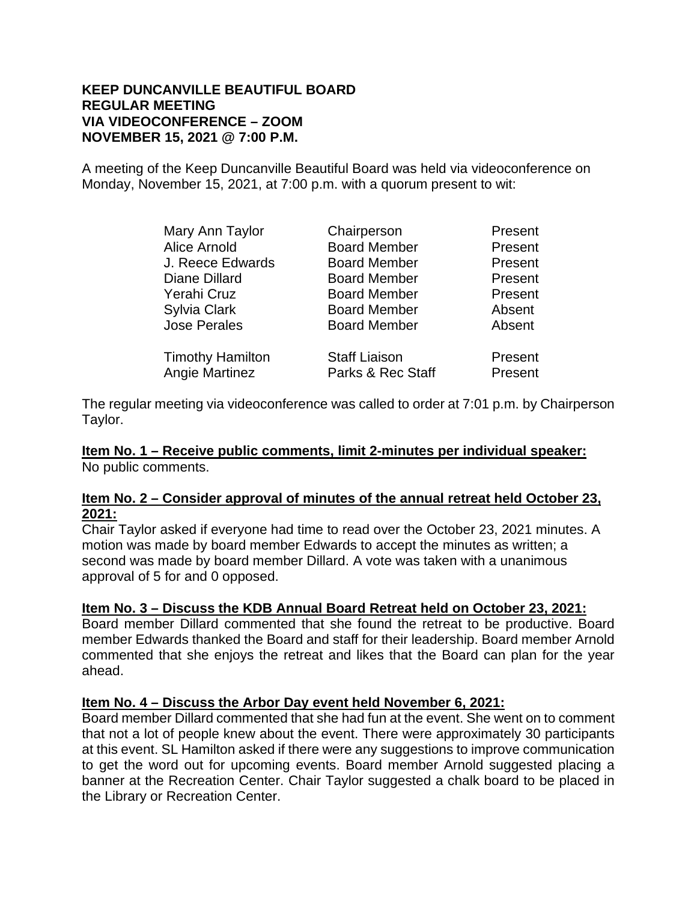#### **KEEP DUNCANVILLE BEAUTIFUL BOARD REGULAR MEETING VIA VIDEOCONFERENCE – ZOOM NOVEMBER 15, 2021 @ 7:00 P.M.**

A meeting of the Keep Duncanville Beautiful Board was held via videoconference on Monday, November 15, 2021, at 7:00 p.m. with a quorum present to wit:

| Mary Ann Taylor         | Chairperson          | Present |
|-------------------------|----------------------|---------|
| <b>Alice Arnold</b>     | <b>Board Member</b>  | Present |
| J. Reece Edwards        | <b>Board Member</b>  | Present |
| Diane Dillard           | <b>Board Member</b>  | Present |
| Yerahi Cruz             | <b>Board Member</b>  | Present |
| Sylvia Clark            | <b>Board Member</b>  | Absent  |
| <b>Jose Perales</b>     | <b>Board Member</b>  | Absent  |
| <b>Timothy Hamilton</b> | <b>Staff Liaison</b> | Present |
| <b>Angie Martinez</b>   | Parks & Rec Staff    | Present |

The regular meeting via videoconference was called to order at 7:01 p.m. by Chairperson Taylor.

**Item No. 1 – Receive public comments, limit 2-minutes per individual speaker:** No public comments.

#### **Item No. 2 – Consider approval of minutes of the annual retreat held October 23, 2021:**

Chair Taylor asked if everyone had time to read over the October 23, 2021 minutes. A motion was made by board member Edwards to accept the minutes as written; a second was made by board member Dillard. A vote was taken with a unanimous approval of 5 for and 0 opposed.

### **Item No. 3 – Discuss the KDB Annual Board Retreat held on October 23, 2021:**

Board member Dillard commented that she found the retreat to be productive. Board member Edwards thanked the Board and staff for their leadership. Board member Arnold commented that she enjoys the retreat and likes that the Board can plan for the year ahead.

### **Item No. 4 – Discuss the Arbor Day event held November 6, 2021:**

Board member Dillard commented that she had fun at the event. She went on to comment that not a lot of people knew about the event. There were approximately 30 participants at this event. SL Hamilton asked if there were any suggestions to improve communication to get the word out for upcoming events. Board member Arnold suggested placing a banner at the Recreation Center. Chair Taylor suggested a chalk board to be placed in the Library or Recreation Center.